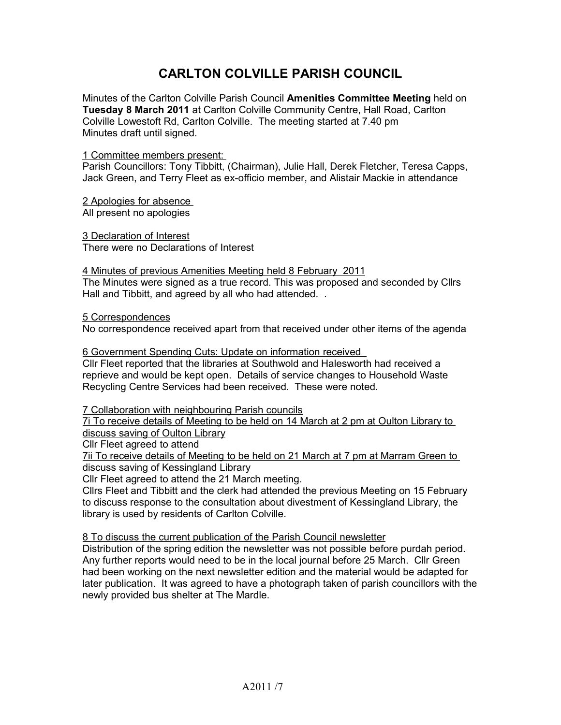## **CARLTON COLVILLE PARISH COUNCIL**

Minutes of the Carlton Colville Parish Council **Amenities Committee Meeting** held on **Tuesday 8 March 2011** at Carlton Colville Community Centre, Hall Road, Carlton Colville Lowestoft Rd, Carlton Colville. The meeting started at 7.40 pm Minutes draft until signed.

1 Committee members present:

Parish Councillors: Tony Tibbitt, (Chairman), Julie Hall, Derek Fletcher, Teresa Capps, Jack Green, and Terry Fleet as ex-officio member, and Alistair Mackie in attendance

2 Apologies for absence All present no apologies

 3 Declaration of Interest There were no Declarations of Interest

 4 Minutes of previous Amenities Meeting held 8 February 2011 The Minutes were signed as a true record. This was proposed and seconded by Cllrs Hall and Tibbitt, and agreed by all who had attended. .

5 Correspondences

No correspondence received apart from that received under other items of the agenda

6 Government Spending Cuts: Update on information received Cllr Fleet reported that the libraries at Southwold and Halesworth had received a reprieve and would be kept open. Details of service changes to Household Waste Recycling Centre Services had been received. These were noted.

7 Collaboration with neighbouring Parish councils

7i To receive details of Meeting to be held on 14 March at 2 pm at Oulton Library to discuss saving of Oulton Library

Cllr Fleet agreed to attend

7ii To receive details of Meeting to be held on 21 March at 7 pm at Marram Green to discuss saving of Kessingland Library

Cllr Fleet agreed to attend the 21 March meeting.

Cllrs Fleet and Tibbitt and the clerk had attended the previous Meeting on 15 February to discuss response to the consultation about divestment of Kessingland Library, the library is used by residents of Carlton Colville.

8 To discuss the current publication of the Parish Council newsletter

Distribution of the spring edition the newsletter was not possible before purdah period. Any further reports would need to be in the local journal before 25 March. Cllr Green had been working on the next newsletter edition and the material would be adapted for later publication. It was agreed to have a photograph taken of parish councillors with the newly provided bus shelter at The Mardle.